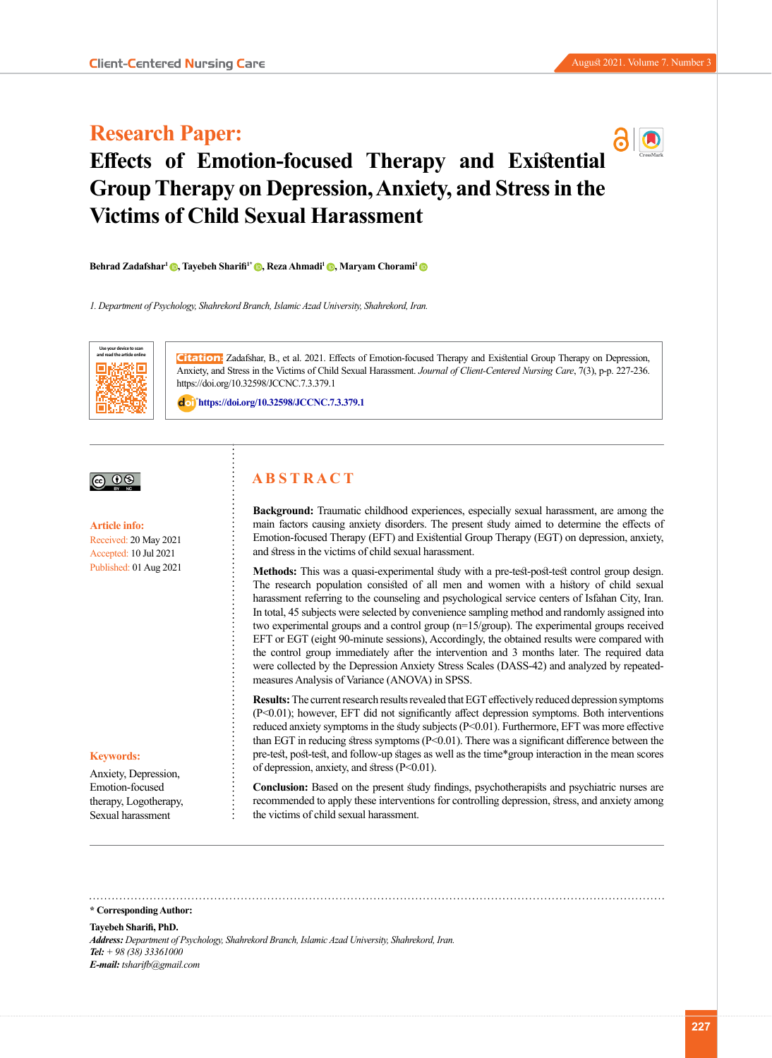# **Research Paper:**



# **Effects of Emotion-focused Therapy and Existential Group Therapy on Depression, Anxiety, and Stress in the Victims of Child Sexual Harassment**

**Behrad Zadafshar1 [,](https://orcid.org/0000-0001-8454-1768) Tayebeh Sharifi1\* [,](https://orcid.org/0000-0002-8224-8805) Reza Ahmadi1 [,](https://orcid.org/0000-0002-9537-7163) Maryam Chorami[1](https://orcid.org/0000-0003-0227-7970)**

*1. Department of Psychology, Shahrekord Branch, Islamic Azad University, Shahrekord, Iran.*



**Citation:** Zadafshar, B., et al. 2021. Effects of Emotion-focused Therapy and Existential Group Therapy on Depression, Anxiety, and Stress in the Victims of Child Sexual Harassment. *Journal of Client-Centered Nursing Care*, 7(3), p-p. 227-236. https://doi.org/10.32598/JCCNC.7.3.379.1

: **<https://doi.org/10.32598/JCCNC.7.3.379.1>**



**Article info:** Received: 20 May 2021 Accepted: 10 Jul 2021 Published: 01 Aug 2021

#### **Keywords:**

Anxiety, Depression, Emotion-focused therapy, Logotherapy, Sexual harassment

# **A B S T R A C T**

**Background:** Traumatic childhood experiences, especially sexual harassment, are among the main factors causing anxiety disorders. The present study aimed to determine the effects of Emotion-focused Therapy (EFT) and Existential Group Therapy (EGT) on depression, anxiety, and stress in the victims of child sexual harassment.

**Methods:** This was a quasi-experimental study with a pre-test-post-test control group design. The research population consisted of all men and women with a history of child sexual harassment referring to the counseling and psychological service centers of Isfahan City, Iran. In total, 45 subjects were selected by convenience sampling method and randomly assigned into two experimental groups and a control group (n=15/group). The experimental groups received EFT or EGT (eight 90-minute sessions), Accordingly, the obtained results were compared with the control group immediately after the intervention and 3 months later. The required data were collected by the Depression Anxiety Stress Scales (DASS-42) and analyzed by repeatedmeasures Analysis of Variance (ANOVA) in SPSS.

**Results:** The current research results revealed that EGT effectively reduced depression symptoms (P<0.01); however, EFT did not significantly affect depression symptoms. Both interventions reduced anxiety symptoms in the study subjects (P<0.01). Furthermore, EFT was more effective than EGT in reducing stress symptoms (P<0.01). There was a significant difference between the pre-test, post-test, and follow-up stages as well as the time\*group interaction in the mean scores of depression, anxiety, and stress (P<0.01).

**Conclusion:** Based on the present study findings, psychotherapists and psychiatric nurses are recommended to apply these interventions for controlling depression, stress, and anxiety among the victims of child sexual harassment.

**\* Corresponding Author:**

#### **Tayebeh Sharifi, PhD.**

*Address: Department of Psychology, Shahrekord Branch, Islamic Azad University, Shahrekord, Iran. Tel: + 98 (38) 33361000 E-mail: tsharifb@gmail.com*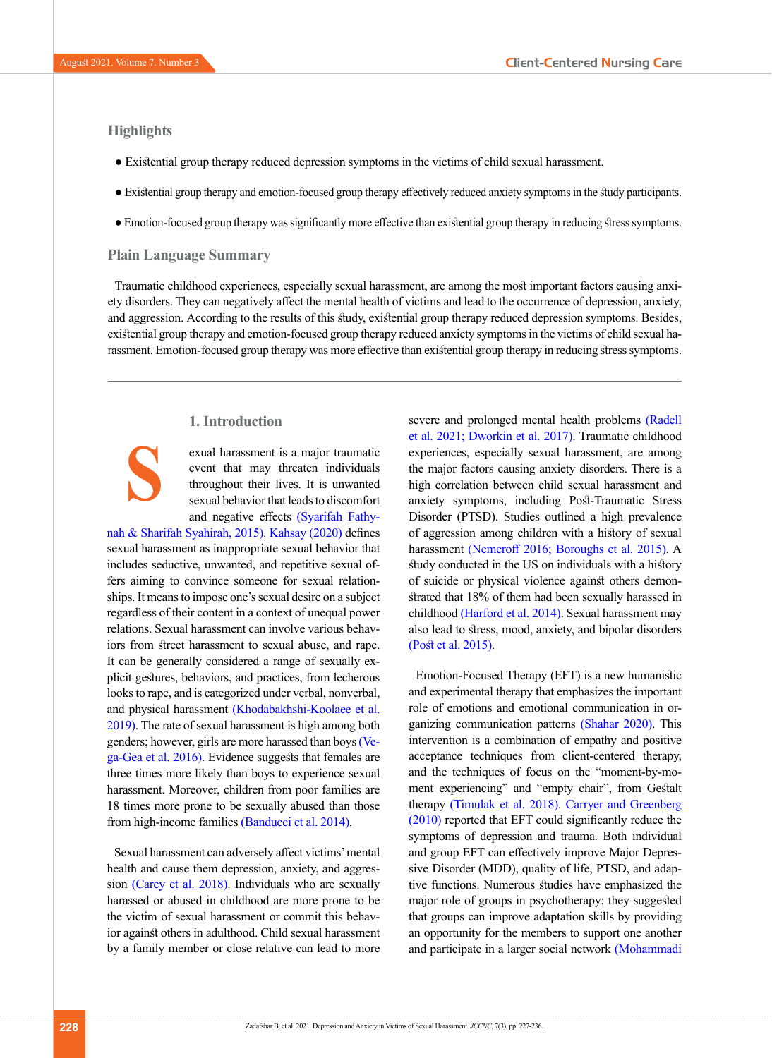# **Highlights**

**S**

- Existential group therapy reduced depression symptoms in the victims of child sexual harassment.
- Existential group therapy and emotion-focused group therapy effectively reduced anxiety symptoms in the study participants.
- Emotion-focused group therapy was significantly more effective than existential group therapy in reducing stress symptoms.

### **Plain Language Summary**

Traumatic childhood experiences, especially sexual harassment, are among the most important factors causing anxiety disorders. They can negatively affect the mental health of victims and lead to the occurrence of depression, anxiety, and aggression. According to the results of this study, existential group therapy reduced depression symptoms. Besides, existential group therapy and emotion-focused group therapy reduced anxiety symptoms in the victims of child sexual harassment. Emotion-focused group therapy was more effective than existential group therapy in reducing stress symptoms.

# **1. Introduction**

exual harassment is a major traumatic event that may threaten individuals throughout their lives. It is unwanted sexual behavior that leads to discomfort and negative effects [\(Syarifah Fathy-](#page-8-0)

[nah & Sharifah Syahirah, 2015\)](#page-8-0). [Kahsay \(2020\) d](#page-8-1)efines sexual harassment as inappropriate sexual behavior that includes seductive, unwanted, and repetitive sexual offers aiming to convince someone for sexual relationships. It means to impose one's sexual desire on a subject regardless of their content in a context of unequal power relations. Sexual harassment can involve various behaviors from street harassment to sexual abuse, and rape. It can be generally considered a range of sexually explicit gestures, behaviors, and practices, from lecherous looks to rape, and is categorized under verbal, nonverbal, and physical harassment [\(Khodabakhshi-Koolaee et al.](#page-8-2) [2019\).](#page-8-2) The rate of sexual harassment is high among both genders; however, girls are more harassed than boys (Vega-Gea et al. 2016). Evidence suggests that females are three times more likely than boys to experience sexual harassment. Moreover, children from poor families are 18 times more prone to be sexually abused than those from high-income families [\(Banducci et al. 2014\).](#page-8-3)

Sexual harassment can adversely affect victims' mental health and cause them depression, anxiety, and aggression [\(Carey et al. 2018\).](#page-8-4) Individuals who are sexually harassed or abused in childhood are more prone to be the victim of sexual harassment or commit this behavior against others in adulthood. Child sexual harassment by a family member or close relative can lead to more

severe and prolonged mental health problems (Radell [et al. 2021;](#page-8-5) [Dworkin et al. 2017\)](#page-8-6). Traumatic childhood experiences, especially sexual harassment, are among the major factors causing anxiety disorders. There is a high correlation between child sexual harassment and anxiety symptoms, including Post-Traumatic Stress Disorder (PTSD). Studies outlined a high prevalence of aggression among children with a history of sexual harassment [\(Nemeroff 2016;](#page-8-7) [Boroughs et al. 2015\)](#page-8-8). A study conducted in the US on individuals with a history of suicide or physical violence against others demonstrated that 18% of them had been sexually harassed in childhood [\(Harford et al. 2014\).](#page-8-9) Sexual harassment may also lead to stress, mood, anxiety, and bipolar disorders [\(Post et al. 2015\).](#page-8-10)

Emotion-Focused Therapy (EFT) is a new humanistic and experimental therapy that emphasizes the important role of emotions and emotional communication in organizing communication patterns [\(Shahar 2020\)](#page-8-11). This intervention is a combination of empathy and positive acceptance techniques from client-centered therapy, and the techniques of focus on the "moment-by-moment experiencing" and "empty chair", from Gestalt therapy [\(Timulak et al. 2018\).](#page-8-12) [Carryer and Greenberg](#page-8-13)  [\(2010\)](#page-8-13) reported that EFT could significantly reduce the symptoms of depression and trauma. Both individual and group EFT can effectively improve Major Depressive Disorder (MDD), quality of life, PTSD, and adaptive functions. Numerous studies have emphasized the major role of groups in psychotherapy; they suggested that groups can improve adaptation skills by providing an opportunity for the members to support one another and participate in a larger social network [\(Mohammadi](#page-8-14)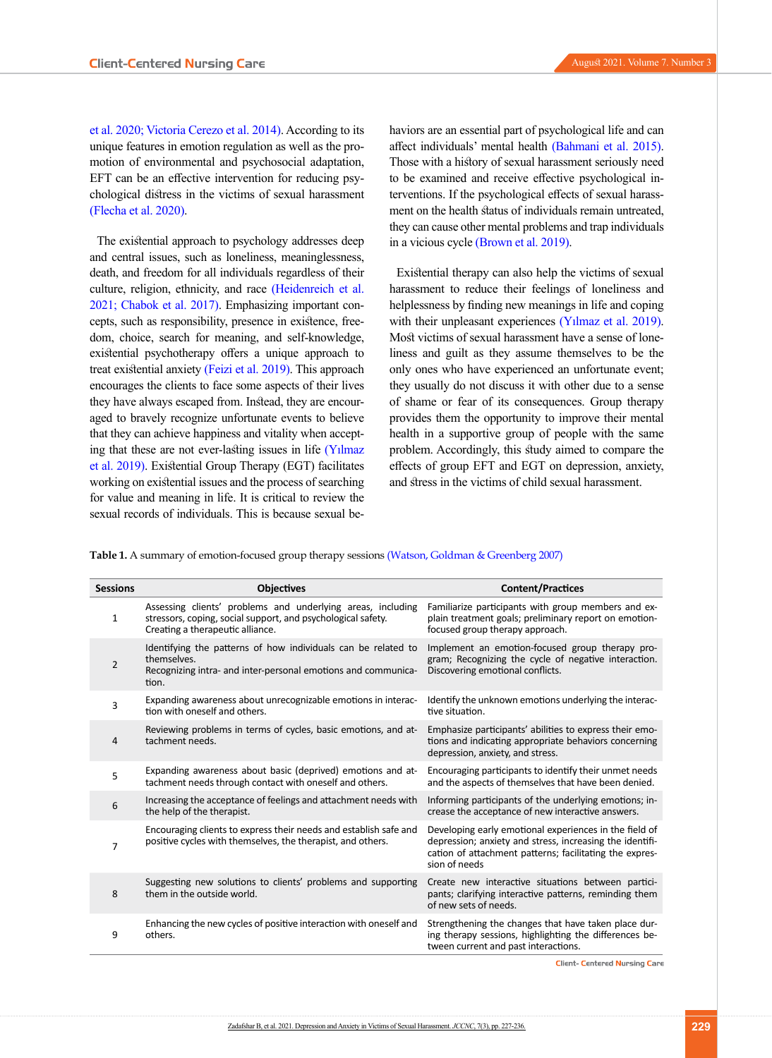[et al. 2020;](#page-8-14) [Victoria Cerezo et al. 2014\).](#page-9-0) According to its unique features in emotion regulation as well as the promotion of environmental and psychosocial adaptation, EFT can be an effective intervention for reducing psychological distress in the victims of sexual harassment (Flecha et al. 2020).

The existential approach to psychology addresses deep and central issues, such as loneliness, meaninglessness, death, and freedom for all individuals regardless of their culture, religion, ethnicity, and race [\(Heidenreich et al.](#page-8-15)  [2021;](#page-8-15) [Chabok et al. 2017\).](#page-8-16) Emphasizing important concepts, such as responsibility, presence in existence, freedom, choice, search for meaning, and self-knowledge, existential psychotherapy offers a unique approach to treat existential anxiety [\(Feizi et al. 2019\).](#page-8-17) This approach encourages the clients to face some aspects of their lives they have always escaped from. Instead, they are encouraged to bravely recognize unfortunate events to believe that they can achieve happiness and vitality when accepting that these are not ever-lasting issues in life [\(Yılmaz](#page-9-1)  [et al. 2019\)](#page-9-1). Existential Group Therapy (EGT) facilitates working on existential issues and the process of searching for value and meaning in life. It is critical to review the sexual records of individuals. This is because sexual behaviors are an essential part of psychological life and can affect individuals' mental health [\(Bahmani et al. 2015\)](#page-7-0). Those with a history of sexual harassment seriously need to be examined and receive effective psychological interventions. If the psychological effects of sexual harassment on the health status of individuals remain untreated, they can cause other mental problems and trap individuals in a vicious cycle [\(Brown et al. 2019\).](#page-8-18)

Existential therapy can also help the victims of sexual harassment to reduce their feelings of loneliness and helplessness by finding new meanings in life and coping with their unpleasant experiences (Y<sub>1</sub>lmaz et al. 2019). Most victims of sexual harassment have a sense of loneliness and guilt as they assume themselves to be the only ones who have experienced an unfortunate event; they usually do not discuss it with other due to a sense of shame or fear of its consequences. Group therapy provides them the opportunity to improve their mental health in a supportive group of people with the same problem. Accordingly, this study aimed to compare the effects of group EFT and EGT on depression, anxiety, and stress in the victims of child sexual harassment.

<span id="page-2-0"></span>**Table 1.** A summary of emotion-focused group therapy sessions (Watson, Goldman & Greenberg 200[7\)](#page-9-2)

| <b>Sessions</b> | <b>Objectives</b>                                                                                                                                               | <b>Content/Practices</b>                                                                                                                                                                       |
|-----------------|-----------------------------------------------------------------------------------------------------------------------------------------------------------------|------------------------------------------------------------------------------------------------------------------------------------------------------------------------------------------------|
| 1               | Assessing clients' problems and underlying areas, including<br>stressors, coping, social support, and psychological safety.<br>Creating a therapeutic alliance. | Familiarize participants with group members and ex-<br>plain treatment goals; preliminary report on emotion-<br>focused group therapy approach.                                                |
| $\overline{2}$  | Identifying the patterns of how individuals can be related to<br>themselves.<br>Recognizing intra- and inter-personal emotions and communica-<br>tion.          | Implement an emotion-focused group therapy pro-<br>gram; Recognizing the cycle of negative interaction.<br>Discovering emotional conflicts.                                                    |
| 3               | Expanding awareness about unrecognizable emotions in interac-<br>tion with oneself and others.                                                                  | Identify the unknown emotions underlying the interac-<br>tive situation.                                                                                                                       |
| 4               | Reviewing problems in terms of cycles, basic emotions, and at-<br>tachment needs.                                                                               | Emphasize participants' abilities to express their emo-<br>tions and indicating appropriate behaviors concerning<br>depression, anxiety, and stress.                                           |
| 5               | Expanding awareness about basic (deprived) emotions and at-<br>tachment needs through contact with oneself and others.                                          | Encouraging participants to identify their unmet needs<br>and the aspects of themselves that have been denied.                                                                                 |
| 6               | Increasing the acceptance of feelings and attachment needs with<br>the help of the therapist.                                                                   | Informing participants of the underlying emotions; in-<br>crease the acceptance of new interactive answers.                                                                                    |
| 7               | Encouraging clients to express their needs and establish safe and<br>positive cycles with themselves, the therapist, and others.                                | Developing early emotional experiences in the field of<br>depression; anxiety and stress, increasing the identifi-<br>cation of attachment patterns; facilitating the expres-<br>sion of needs |
| 8               | Suggesting new solutions to clients' problems and supporting<br>them in the outside world.                                                                      | Create new interactive situations between partici-<br>pants; clarifying interactive patterns, reminding them<br>of new sets of needs.                                                          |
| 9               | Enhancing the new cycles of positive interaction with oneself and<br>others.                                                                                    | Strengthening the changes that have taken place dur-<br>ing therapy sessions, highlighting the differences be-<br>tween current and past interactions.                                         |

**Client- Centered Nursing Care**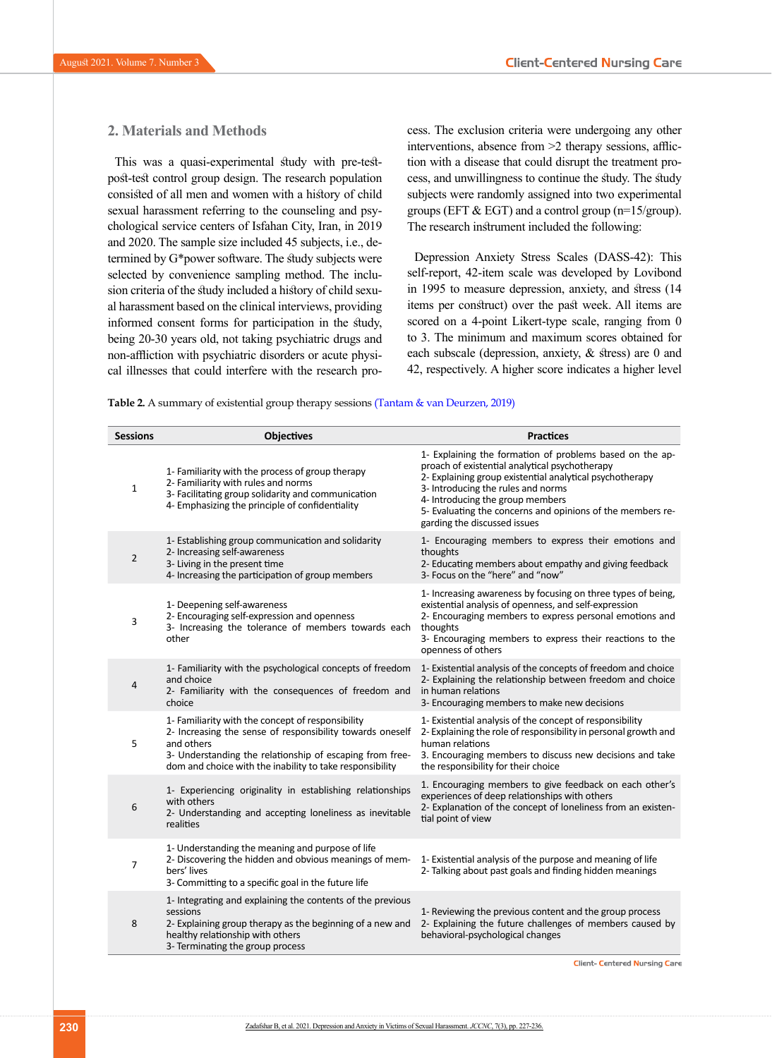## **2. Materials and Methods**

This was a quasi-experimental study with pre-testpost-test control group design. The research population consisted of all men and women with a history of child sexual harassment referring to the counseling and psychological service centers of Isfahan City, Iran, in 2019 and 2020. The sample size included 45 subjects, i.e., determined by G\*power software. The study subjects were selected by convenience sampling method. The inclusion criteria of the study included a history of child sexual harassment based on the clinical interviews, providing informed consent forms for participation in the study, being 20-30 years old, not taking psychiatric drugs and non-affliction with psychiatric disorders or acute physical illnesses that could interfere with the research process. The exclusion criteria were undergoing any other interventions, absence from >2 therapy sessions, affliction with a disease that could disrupt the treatment process, and unwillingness to continue the study. The study subjects were randomly assigned into two experimental groups (EFT & EGT) and a control group (n=15/group). The research instrument included the following:

Depression Anxiety Stress Scales (DASS-42): This self-report, 42-item scale was developed by Lovibond in 1995 to measure depression, anxiety, and stress (14 items per construct) over the past week. All items are scored on a 4-point Likert-type scale, ranging from 0 to 3. The minimum and maximum scores obtained for each subscale (depression, anxiety, & stress) are 0 and 42, respectively. A higher score indicates a higher level

<span id="page-3-0"></span>**Table 2.** A summary of existential group therapy sessions [\(Tantam & van Deurzen, 2019\)](#page-8-19)

| <b>Sessions</b> | <b>Objectives</b>                                                                                                                                                                                                                                    | <b>Practices</b>                                                                                                                                                                                                                                                                                                                               |
|-----------------|------------------------------------------------------------------------------------------------------------------------------------------------------------------------------------------------------------------------------------------------------|------------------------------------------------------------------------------------------------------------------------------------------------------------------------------------------------------------------------------------------------------------------------------------------------------------------------------------------------|
| $\mathbf{1}$    | 1- Familiarity with the process of group therapy<br>2- Familiarity with rules and norms<br>3- Facilitating group solidarity and communication<br>4- Emphasizing the principle of confidentiality                                                     | 1- Explaining the formation of problems based on the ap-<br>proach of existential analytical psychotherapy<br>2- Explaining group existential analytical psychotherapy<br>3- Introducing the rules and norms<br>4- Introducing the group members<br>5- Evaluating the concerns and opinions of the members re-<br>garding the discussed issues |
| $\overline{2}$  | 1- Establishing group communication and solidarity<br>2- Increasing self-awareness<br>3- Living in the present time<br>4- Increasing the participation of group members                                                                              | 1- Encouraging members to express their emotions and<br>thoughts<br>2- Educating members about empathy and giving feedback<br>3- Focus on the "here" and "now"                                                                                                                                                                                 |
| 3               | 1- Deepening self-awareness<br>2- Encouraging self-expression and openness<br>3- Increasing the tolerance of members towards each<br>other                                                                                                           | 1- Increasing awareness by focusing on three types of being,<br>existential analysis of openness, and self-expression<br>2- Encouraging members to express personal emotions and<br>thoughts<br>3- Encouraging members to express their reactions to the<br>openness of others                                                                 |
| $\overline{4}$  | 1- Familiarity with the psychological concepts of freedom<br>and choice<br>2- Familiarity with the consequences of freedom and<br>choice                                                                                                             | 1- Existential analysis of the concepts of freedom and choice<br>2- Explaining the relationship between freedom and choice<br>in human relations<br>3- Encouraging members to make new decisions                                                                                                                                               |
| 5               | 1- Familiarity with the concept of responsibility<br>2- Increasing the sense of responsibility towards oneself<br>and others<br>3- Understanding the relationship of escaping from free-<br>dom and choice with the inability to take responsibility | 1- Existential analysis of the concept of responsibility<br>2- Explaining the role of responsibility in personal growth and<br>human relations<br>3. Encouraging members to discuss new decisions and take<br>the responsibility for their choice                                                                                              |
| 6               | 1- Experiencing originality in establishing relationships<br>with others<br>2- Understanding and accepting loneliness as inevitable<br>realities                                                                                                     | 1. Encouraging members to give feedback on each other's<br>experiences of deep relationships with others<br>2- Explanation of the concept of loneliness from an existen-<br>tial point of view                                                                                                                                                 |
| 7               | 1- Understanding the meaning and purpose of life<br>2- Discovering the hidden and obvious meanings of mem-<br>bers' lives<br>3- Committing to a specific goal in the future life                                                                     | 1- Existential analysis of the purpose and meaning of life<br>2- Talking about past goals and finding hidden meanings                                                                                                                                                                                                                          |
| 8               | 1- Integrating and explaining the contents of the previous<br>sessions<br>2- Explaining group therapy as the beginning of a new and<br>healthy relationship with others<br>3- Terminating the group process                                          | 1- Reviewing the previous content and the group process<br>2- Explaining the future challenges of members caused by<br>behavioral-psychological changes<br><b>Client- Centered Nursing Care</b>                                                                                                                                                |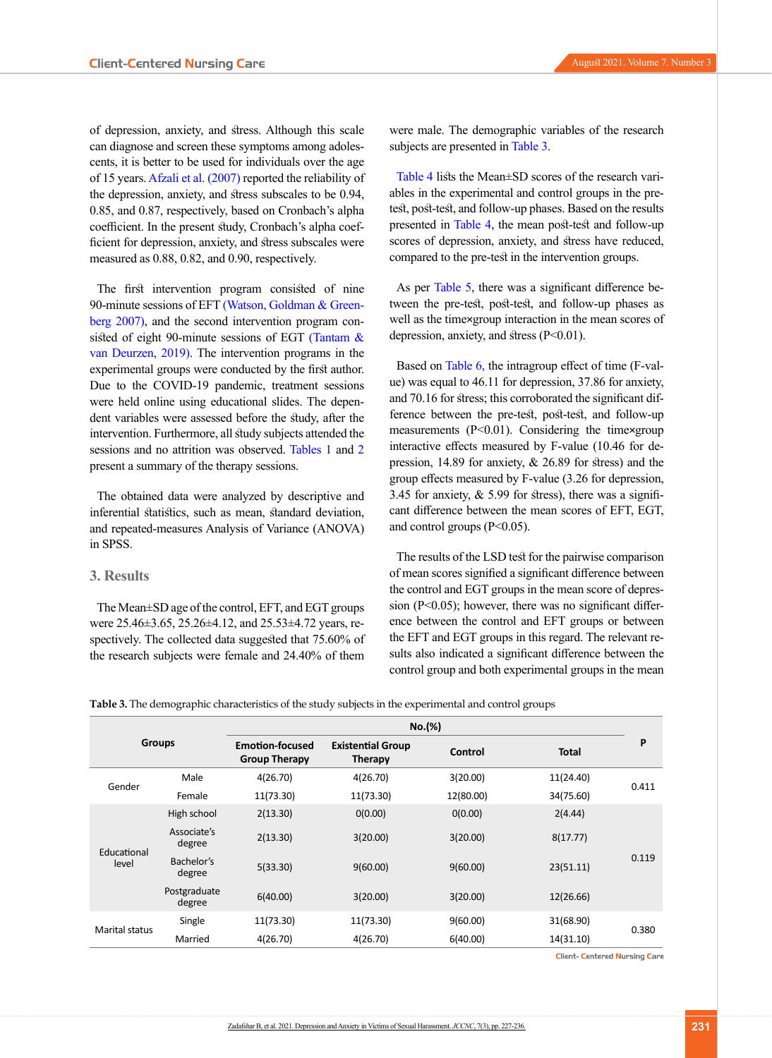of depression, anxiety, and stress. Although this scale can diagnose and screen these symptoms among adolescents, it is better to be used for individuals over the age of 15 years. [Afzali et al. \(2007\)](#page-7-1) reported the reliability of the depression, anxiety, and stress subscales to be 0.94, 0.85, and 0.87, respectively, based on Cronbach's alpha coefficient. In the present study, Cronbach's alpha coefficient for depression, anxiety, and stress subscales were measured as 0.88, 0.82, and 0.90, respectively.

The first intervention program consisted of nine 90-minute sessions of EFT [\(Watson, Goldman & Green](#page-9-2)[berg 2007\)](#page-9-2), and the second intervention program consisted of eight 90-minute sessions of EGT [\(Tantam &](#page-8-19)  [van Deurzen, 2019\).](#page-8-19) The intervention programs in the experimental groups were conducted by the first author. Due to the COVID-19 pandemic, treatment sessions were held online using educational slides. The dependent variables were assessed before the study, after the intervention. Furthermore, all study subjects attended the sessions and no attrition was observed. [Tables 1](#page-2-0) and [2](#page-3-0) present a summary of the therapy sessions.

The obtained data were analyzed by descriptive and inferential statistics, such as mean, standard deviation, and repeated-measures Analysis of Variance (ANOVA) in SPSS.

#### **3. Results**

The Mean±SD age of the control, EFT, and EGT groups were 25.46±3.65, 25.26±4.12, and 25.53±4.72 years, respectively. The collected data suggested that 75.60% of the research subjects were female and 24.40% of them

were male. The demographic variables of the research subjects are presented in [Table 3.](#page-4-0)

Table 4 lists the Mean±SD scores of the research variables in the experimental and control groups in the pretest, post-test, and follow-up phases. Based on the results presented in Table 4, the mean post-test and follow-up scores of depression, anxiety, and stress have reduced, compared to the pre-test in the intervention groups.

As per Table 5, there was a significant difference between the pre-test, post-test, and follow-up phases as well as the time×group interaction in the mean scores of depression, anxiety, and stress (P<0.01).

Based on [Table 6,](#page-6-0) the intragroup effect of time (F-value) was equal to 46.11 for depression, 37.86 for anxiety, and 70.16 for stress; this corroborated the significant difference between the pre-test, post-test, and follow-up measurements (P<0.01). Considering the time×group interactive effects measured by F-value (10.46 for depression, 14.89 for anxiety, & 26.89 for stress) and the group effects measured by F-value (3.26 for depression, 3.45 for anxiety, & 5.99 for stress), there was a significant difference between the mean scores of EFT, EGT, and control groups  $(P<0.05)$ .

The results of the LSD test for the pairwise comparison of mean scores signified a significant difference between the control and EGT groups in the mean score of depression  $(P<0.05)$ ; however, there was no significant difference between the control and EFT groups or between the EFT and EGT groups in this regard. The relevant results also indicated a significant difference between the control group and both experimental groups in the mean

<span id="page-4-0"></span>**Table 3.** The demographic characteristics of the study subjects in the experimental and control groups

|                       |                        |                                                | No.(%)                                     |           |              |       |
|-----------------------|------------------------|------------------------------------------------|--------------------------------------------|-----------|--------------|-------|
| <b>Groups</b>         |                        | <b>Emotion-focused</b><br><b>Group Therapy</b> | <b>Existential Group</b><br><b>Therapy</b> | Control   | <b>Total</b> | P     |
| Gender                | Male                   | 4(26.70)                                       | 4(26.70)                                   | 3(20.00)  | 11(24.40)    | 0.411 |
|                       | Female                 | 11(73.30)                                      | 11(73.30)                                  | 12(80.00) | 34(75.60)    |       |
|                       | High school            | 2(13.30)                                       | 0(0.00)                                    | 0(0.00)   | 2(4.44)      |       |
| Educational           | Associate's<br>degree  | 2(13.30)                                       | 3(20.00)                                   | 3(20.00)  | 8(17.77)     |       |
| level                 | Bachelor's<br>degree   | 5(33.30)                                       | 9(60.00)                                   | 9(60.00)  | 23(51.11)    | 0.119 |
|                       | Postgraduate<br>degree | 6(40.00)                                       | 3(20.00)                                   | 3(20.00)  | 12(26.66)    |       |
| <b>Marital status</b> | Single                 | 11(73.30)                                      | 11(73.30)                                  | 9(60.00)  | 31(68.90)    | 0.380 |
|                       | Married                | 4(26.70)                                       | 4(26.70)                                   | 6(40.00)  | 14(31.10)    |       |

**Client- Centered Nursing Care**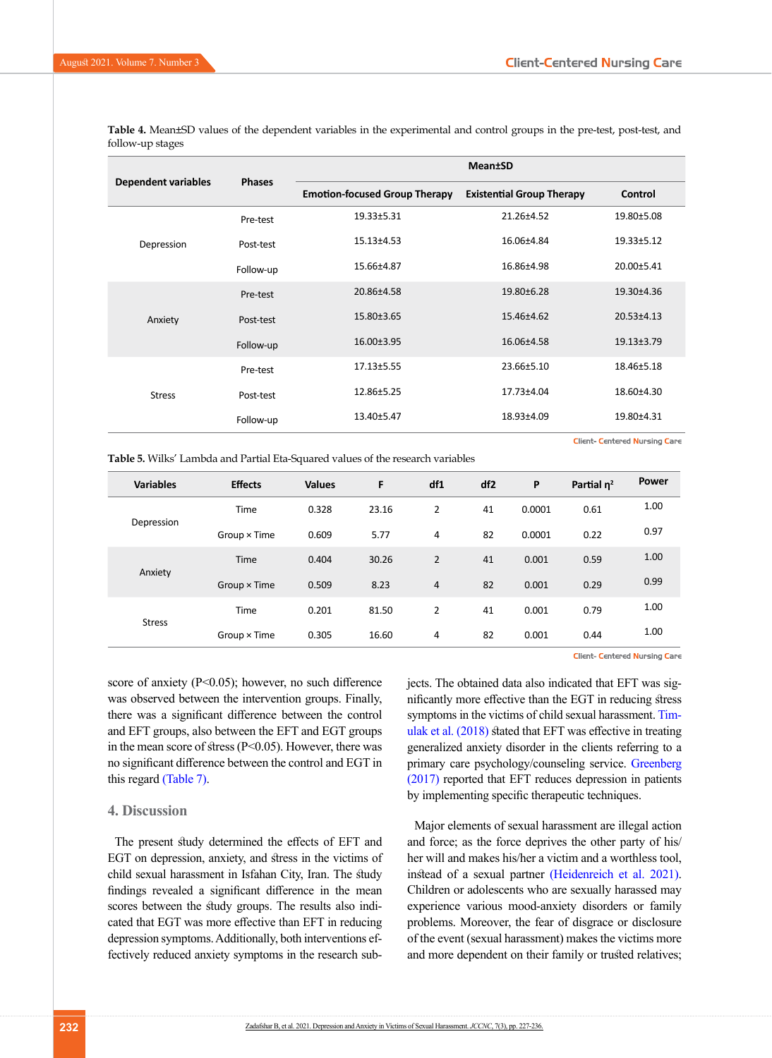| follow-up stages    |               |  |         | $\blacksquare$ | . |  |
|---------------------|---------------|--|---------|----------------|---|--|
|                     |               |  | Mean±SD |                |   |  |
| Dependent variables | <b>Phases</b> |  |         |                |   |  |

**Table 4.** Mean±SD values of the dependent variables in the experimental and control groups in the pre-test, post-test, and

|                            | <b>Phases</b> |                                      |                                  |                  |
|----------------------------|---------------|--------------------------------------|----------------------------------|------------------|
| <b>Dependent variables</b> |               | <b>Emotion-focused Group Therapy</b> | <b>Existential Group Therapy</b> | Control          |
|                            | Pre-test      | 19.33±5.31                           | 21.26±4.52                       | 19.80±5.08       |
| Depression                 | Post-test     | 15.13±4.53                           | 16.06±4.84                       | 19.33±5.12       |
|                            | Follow-up     | 15.66±4.87                           | 16.86±4.98                       | 20.00±5.41       |
|                            | Pre-test      | 20.86±4.58                           | 19.80±6.28                       | 19.30±4.36       |
| Anxiety                    | Post-test     | 15.80±3.65                           | 15.46±4.62                       | 20.53±4.13       |
|                            | Follow-up     | 16.00±3.95                           | 16.06±4.58                       | $19.13 \pm 3.79$ |
|                            | Pre-test      | 17.13±5.55                           | 23.66±5.10                       | 18.46±5.18       |
| <b>Stress</b>              | Post-test     | 12.86±5.25                           | 17.73±4.04                       | 18.60±4.30       |
|                            | Follow-up     | 13.40±5.47                           | 18.93±4.09                       | 19.80±4.31       |
|                            |               |                                      |                                  |                  |

**Client- Centered Nursing Care** 

|                  |                | $\overline{\phantom{a}}$ |       |                |                 |        |               |       |
|------------------|----------------|--------------------------|-------|----------------|-----------------|--------|---------------|-------|
| <b>Variables</b> | <b>Effects</b> | <b>Values</b>            | F     | df1            | df <sub>2</sub> | P      | Partial $n^2$ | Power |
|                  | Time           | 0.328                    | 23.16 | 2              | 41              | 0.0001 | 0.61          | 1.00  |
| Depression       | Group × Time   | 0.609                    | 5.77  | 4              | 82              | 0.0001 | 0.22          | 0.97  |
|                  | Time           | 0.404                    | 30.26 | $\overline{2}$ | 41              | 0.001  | 0.59          | 1.00  |
| Anxiety          | Group × Time   | 0.509                    | 8.23  | 4              | 82              | 0.001  | 0.29          | 0.99  |
|                  | Time           | 0.201                    | 81.50 | $\overline{2}$ | 41              | 0.001  | 0.79          | 1.00  |
| <b>Stress</b>    | Group × Time   | 0.305                    | 16.60 | 4              | 82              | 0.001  | 0.44          | 1.00  |

Client- Centered Nursing Care

score of anxiety  $(P<0.05)$ ; however, no such difference was observed between the intervention groups. Finally, there was a significant difference between the control and EFT groups, also between the EFT and EGT groups in the mean score of stress (P<0.05). However, there was no significant difference between the control and EGT in this regard [\(Table 7\)](#page-6-1).

**Table 5.** Wilks' Lambda and Partial Eta-Squared values of the research variables

#### **4. Discussion**

The present study determined the effects of EFT and EGT on depression, anxiety, and stress in the victims of child sexual harassment in Isfahan City, Iran. The study findings revealed a significant difference in the mean scores between the study groups. The results also indicated that EGT was more effective than EFT in reducing depression symptoms. Additionally, both interventions effectively reduced anxiety symptoms in the research subjects. The obtained data also indicated that EFT was significantly more effective than the EGT in reducing stress symptoms in the victims of child sexual harassment. [Tim](#page-8-12)[ulak et al. \(2018\)](#page-8-12) stated that EFT was effective in treating generalized anxiety disorder in the clients referring to a primary care psychology/counseling service. [Greenberg](#page-8-20)  [\(2017\)](#page-8-20) reported that EFT reduces depression in patients by implementing specific therapeutic techniques.

Major elements of sexual harassment are illegal action and force; as the force deprives the other party of his/ her will and makes his/her a victim and a worthless tool, instead of a sexual partner [\(Heidenreich et al. 2021\)](#page-8-15). Children or adolescents who are sexually harassed may experience various mood-anxiety disorders or family problems. Moreover, the fear of disgrace or disclosure of the event (sexual harassment) makes the victims more and more dependent on their family or trusted relatives;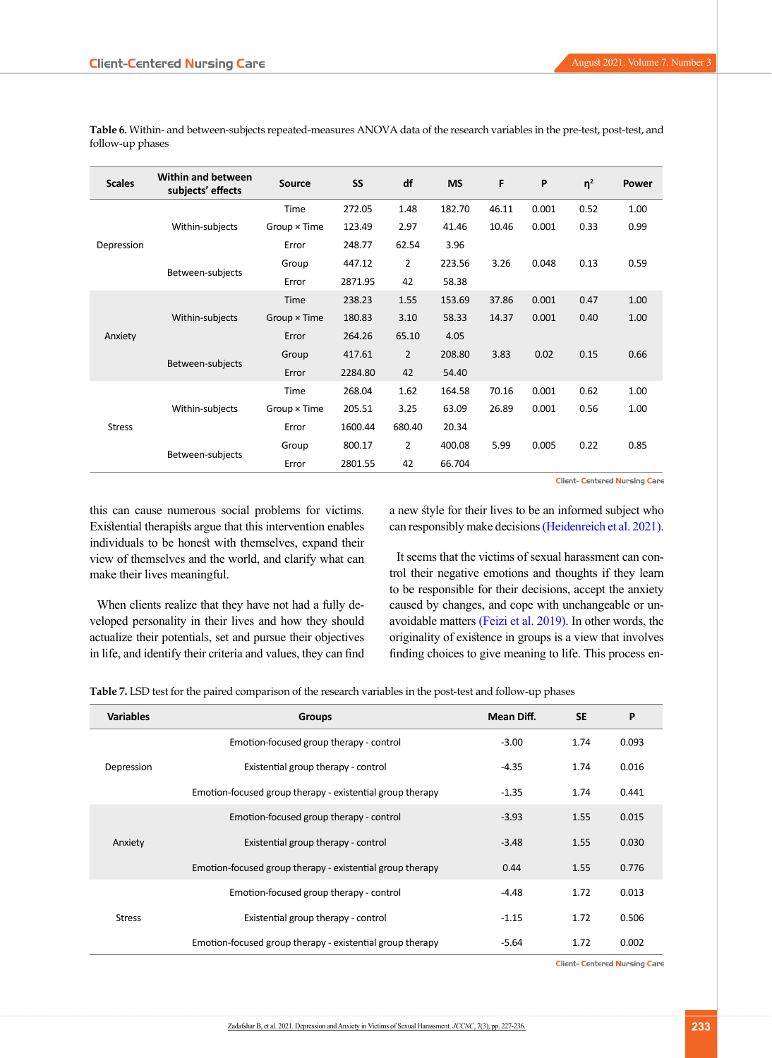| <b>Scales</b> | <b>Within and between</b><br>subjects' effects | Source              | SS      | df             | <b>MS</b> | F     | P     | $\eta^2$ | Power |
|---------------|------------------------------------------------|---------------------|---------|----------------|-----------|-------|-------|----------|-------|
|               |                                                | Time                | 272.05  | 1.48           | 182.70    | 46.11 | 0.001 | 0.52     | 1.00  |
|               | Within-subjects                                | Group × Time        | 123.49  | 2.97           | 41.46     | 10.46 | 0.001 | 0.33     | 0.99  |
| Depression    |                                                | Error               | 248.77  | 62.54          | 3.96      |       |       |          |       |
|               | Between-subjects                               | Group               | 447.12  | $\overline{2}$ | 223.56    | 3.26  | 0.048 | 0.13     | 0.59  |
|               |                                                | Error               | 2871.95 | 42             | 58.38     |       |       |          |       |
|               | Within-subjects                                | Time                | 238.23  | 1.55           | 153.69    | 37.86 | 0.001 | 0.47     | 1.00  |
|               |                                                | $Group \times Time$ | 180.83  | 3.10           | 58.33     | 14.37 | 0.001 | 0.40     | 1.00  |
| Anxiety       |                                                | Error               | 264.26  | 65.10          | 4.05      |       |       |          |       |
|               | Between-subjects                               | Group               | 417.61  | $\overline{2}$ | 208.80    | 3.83  | 0.02  | 0.15     | 0.66  |
|               |                                                | Error               | 2284.80 | 42             | 54.40     |       |       |          |       |
|               |                                                | Time                | 268.04  | 1.62           | 164.58    | 70.16 | 0.001 | 0.62     | 1.00  |
|               | Within-subjects                                | Group × Time        | 205.51  | 3.25           | 63.09     | 26.89 | 0.001 | 0.56     | 1.00  |
| <b>Stress</b> |                                                | Error               | 1600.44 | 680.40         | 20.34     |       |       |          |       |
|               |                                                | Group               | 800.17  | $\overline{2}$ | 400.08    | 5.99  | 0.005 | 0.22     | 0.85  |
|               | Between-subjects                               | Error               | 2801.55 | 42             | 66.704    |       |       |          |       |

<span id="page-6-0"></span>**Table 6.** Within- and between-subjects repeated-measures ANOVA data of the research variables in the pre-test, post-test, and follow-up phases

Client- Centered Nursing Care

this can cause numerous social problems for victims. Existential therapists argue that this intervention enables individuals to be honest with themselves, expand their view of themselves and the world, and clarify what can make their lives meaningful.

When clients realize that they have not had a fully developed personality in their lives and how they should actualize their potentials, set and pursue their objectives in life, and identify their criteria and values, they can find a new style for their lives to be an informed subject who can responsibly make decisions [\(Heidenreich et al. 2021\)](#page-8-15).

It seems that the victims of sexual harassment can control their negative emotions and thoughts if they learn to be responsible for their decisions, accept the anxiety caused by changes, and cope with unchangeable or unavoidable matters [\(Feizi et al. 2019\).](#page-8-17) In other words, the originality of existence in groups is a view that involves finding choices to give meaning to life. This process en-

<span id="page-6-1"></span>**Table 7.** LSD test for the paired comparison of the research variables in the post-test and follow-up phases

| <b>Variables</b> | <b>Groups</b>                                             | Mean Diff. | <b>SE</b> | P     |
|------------------|-----------------------------------------------------------|------------|-----------|-------|
|                  | Emotion-focused group therapy - control                   | $-3.00$    | 1.74      | 0.093 |
| Depression       | Existential group therapy - control                       | $-4.35$    | 1.74      | 0.016 |
|                  | Emotion-focused group therapy - existential group therapy | $-1.35$    | 1.74      | 0.441 |
|                  | Emotion-focused group therapy - control                   | $-3.93$    | 1.55      | 0.015 |
| Anxiety          | Existential group therapy - control                       | $-3.48$    | 1.55      | 0.030 |
|                  | Emotion-focused group therapy - existential group therapy | 0.44       | 1.55      | 0.776 |
|                  | Emotion-focused group therapy - control                   | $-4.48$    | 1.72      | 0.013 |
| <b>Stress</b>    | Existential group therapy - control                       | $-1.15$    | 1.72      | 0.506 |
|                  | Emotion-focused group therapy - existential group therapy | $-5.64$    | 1.72      | 0.002 |

Client- Centered Nursing Care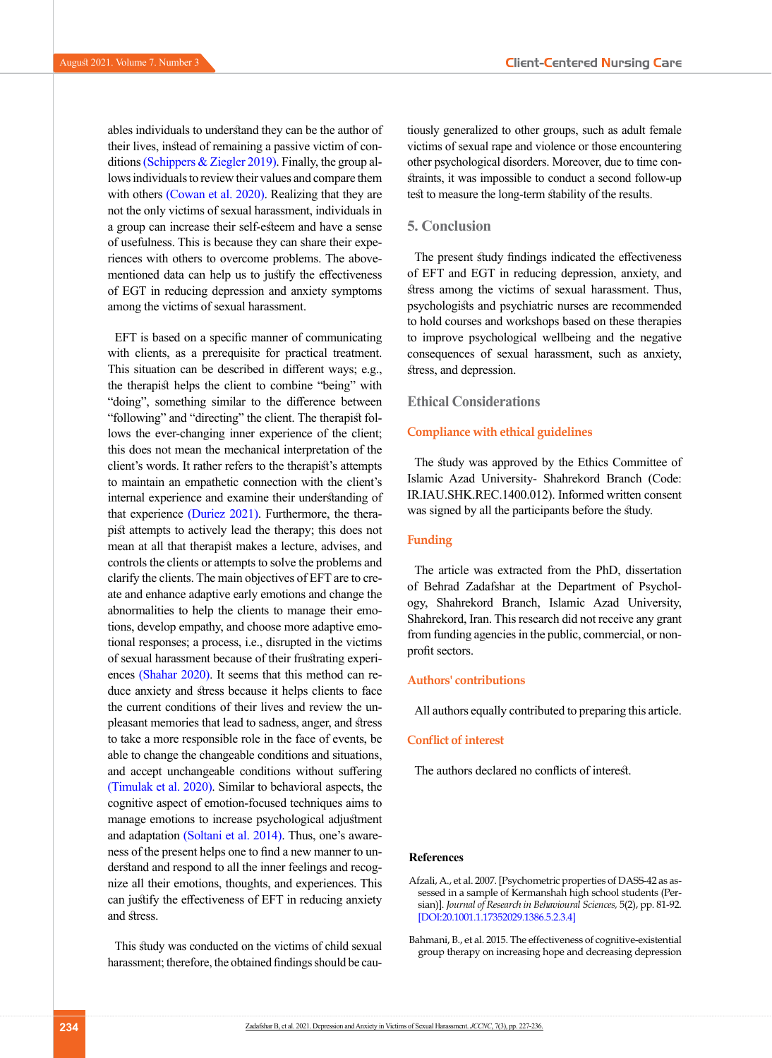ables individuals to understand they can be the author of their lives, instead of remaining a passive victim of conditions [\(Schippers & Ziegler 2019\)](#page-8-21). Finally, the group allows individuals to review their values and compare them with others [\(Cowan et al. 2020\).](#page-8-22) Realizing that they are not the only victims of sexual harassment, individuals in a group can increase their self-esteem and have a sense of usefulness. This is because they can share their experiences with others to overcome problems. The abovementioned data can help us to justify the effectiveness of EGT in reducing depression and anxiety symptoms among the victims of sexual harassment.

EFT is based on a specific manner of communicating with clients, as a prerequisite for practical treatment. This situation can be described in different ways; e.g., the therapist helps the client to combine "being" with "doing", something similar to the difference between "following" and "directing" the client. The therapist follows the ever-changing inner experience of the client; this does not mean the mechanical interpretation of the client's words. It rather refers to the therapist's attempts to maintain an empathetic connection with the client's internal experience and examine their understanding of that experience [\(Duriez 2021\).](#page-8-23) Furthermore, the therapist attempts to actively lead the therapy; this does not mean at all that therapist makes a lecture, advises, and controls the clients or attempts to solve the problems and clarify the clients. The main objectives of EFT are to create and enhance adaptive early emotions and change the abnormalities to help the clients to manage their emotions, develop empathy, and choose more adaptive emotional responses; a process, i.e., disrupted in the victims of sexual harassment because of their frustrating experiences [\(Shahar 2020\).](#page-8-11) It seems that this method can reduce anxiety and stress because it helps clients to face the current conditions of their lives and review the unpleasant memories that lead to sadness, anger, and stress to take a more responsible role in the face of events, be able to change the changeable conditions and situations, and accept unchangeable conditions without suffering [\(Timulak et al. 2020\)](#page-8-24). Similar to behavioral aspects, the cognitive aspect of emotion-focused techniques aims to manage emotions to increase psychological adjustment and adaptation [\(Soltani et al. 2014\).](#page-8-25) Thus, one's awareness of the present helps one to find a new manner to understand and respond to all the inner feelings and recognize all their emotions, thoughts, and experiences. This can justify the effectiveness of EFT in reducing anxiety and stress.

This study was conducted on the victims of child sexual harassment; therefore, the obtained findings should be cautiously generalized to other groups, such as adult female victims of sexual rape and violence or those encountering other psychological disorders. Moreover, due to time constraints, it was impossible to conduct a second follow-up test to measure the long-term stability of the results.

#### **5. Conclusion**

The present study findings indicated the effectiveness of EFT and EGT in reducing depression, anxiety, and stress among the victims of sexual harassment. Thus, psychologists and psychiatric nurses are recommended to hold courses and workshops based on these therapies to improve psychological wellbeing and the negative consequences of sexual harassment, such as anxiety, stress, and depression.

#### **Ethical Considerations**

#### **Compliance with ethical guidelines**

The study was approved by the Ethics Committee of Islamic Azad University- Shahrekord Branch (Code: IR.IAU.SHK.REC.1400.012). Informed written consent was signed by all the participants before the study.

#### **Funding**

The article was extracted from the PhD, dissertation of Behrad Zadafshar at the Department of Psychology, Shahrekord Branch, Islamic Azad University, Shahrekord, Iran. This research did not receive any grant from funding agencies in the public, commercial, or nonprofit sectors.

#### **Authors' contributions**

All authors equally contributed to preparing this article.

#### **Conflict of interest**

The authors declared no conflicts of interest.

#### **References**

- <span id="page-7-1"></span>Afzali, A., et al. 2007. [Psychometric properties of DASS-42 as assessed in a sample of Kermanshah high school students (Persian)]. *Journal of Research in Behavioural Sciences,* 5(2), pp. 81-92. [[DOI:20.1001.1.17352029.1386.5.2.3.4](http://dorl.net/dor/20.1001.1.17352029.1386.5.2.3.4)]
- <span id="page-7-0"></span>Bahmani, B., et al. 2015. The effectiveness of cognitive-existential group therapy on increasing hope and decreasing depression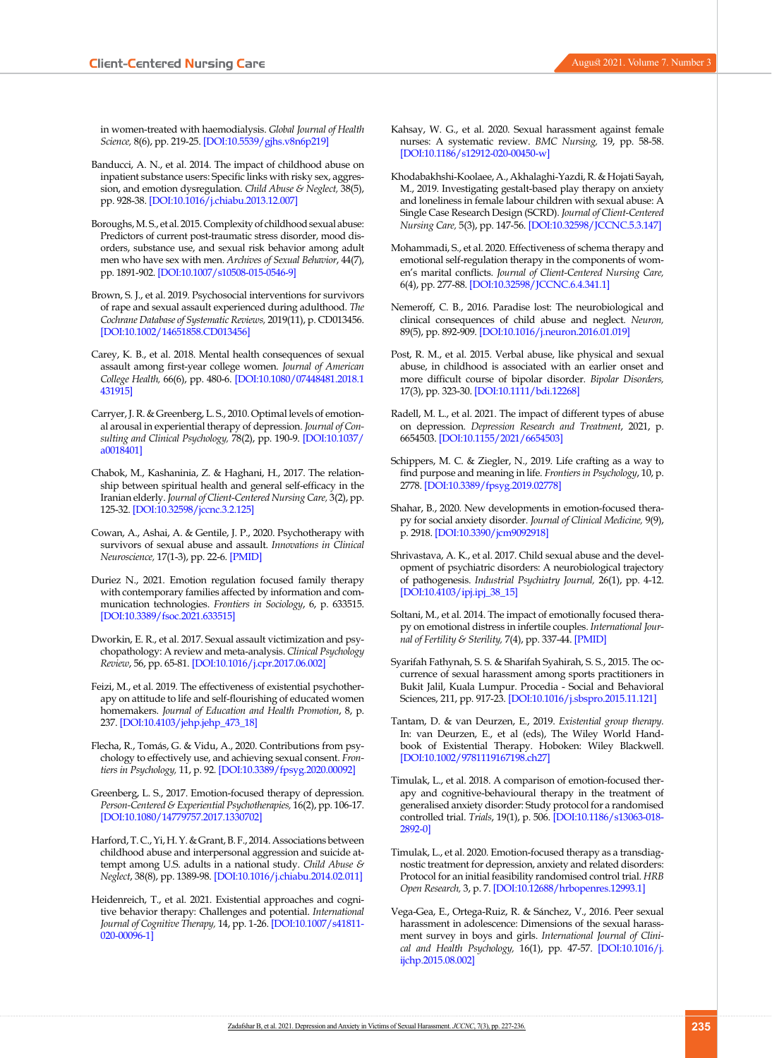in women-treated with haemodialysis. *Global Journal of Health Science,* 8(6), pp. 219-25. [\[DOI:10.5539/gjhs.v8n6p219](https://doi.org/10.5539/gjhs.v8n6p219)]

- <span id="page-8-3"></span>Banducci, A. N., et al. 2014. The impact of childhood abuse on inpatient substance users: Specific links with risky sex, aggression, and emotion dysregulation. *Child Abuse & Neglect,* 38(5), pp. 928-38. [\[DOI:10.1016/j.chiabu.2013.12.007\]](https://doi.org/10.1016/j.chiabu.2013.12.007)
- <span id="page-8-8"></span>Boroughs, M. S., et al. 2015. Complexity of childhood sexual abuse: Predictors of current post-traumatic stress disorder, mood disorders, substance use, and sexual risk behavior among adult men who have sex with men. *Archives of Sexual Behavior*, 44(7), pp. 1891-902. [\[DOI:10.1007/s10508-015-0546-9\]](https://doi.org/10.1007/s10508-015-0546-9)
- <span id="page-8-18"></span>Brown, S. J., et al. 2019. Psychosocial interventions for survivors of rape and sexual assault experienced during adulthood. *The Cochrane Database of Systematic Reviews,* 2019(11), p. CD013456. [\[DOI:10.1002/14651858.CD013456](https://doi.org/10.1002/14651858.CD013456)]
- <span id="page-8-4"></span>Carey, K. B., et al. 2018. Mental health consequences of sexual assault among first-year college women. *Journal of American College Health,* 66(6), pp. 480-6. [\[DOI:10.1080/07448481.2018.1](https://doi.org/10.1080/07448481.2018.1431915) [431915](https://doi.org/10.1080/07448481.2018.1431915)]
- <span id="page-8-13"></span>Carryer, J. R. & Greenberg, L. S., 2010. Optimal levels of emotional arousal in experiential therapy of depression. *Journal of Consulting and Clinical Psychology,* 78(2), pp. 190-9. [[DOI:10.1037/](https://doi.org/10.1037/a0018401) [a0018401](https://doi.org/10.1037/a0018401)]
- <span id="page-8-16"></span>Chabok, M., Kashaninia, Z. & Haghani, H., 2017. The relationship between spiritual health and general self-efficacy in the Iranian elderly. *Journal of Client-Centered Nursing Care,* 3(2), pp. 125-32. [\[DOI:10.32598/jccnc.3.2.125](https://doi.org/10.32598/jccnc.3.2.125)]
- <span id="page-8-22"></span>Cowan, A., Ashai, A. & Gentile, J. P., 2020. Psychotherapy with survivors of sexual abuse and assault. *Innovations in Clinical Neuroscience,* 17(1-3), pp. 22-6. [\[PMID](https://pubmed.ncbi.nlm.nih.gov/32547843/)]
- <span id="page-8-23"></span>Duriez N., 2021. Emotion regulation focused family therapy with contemporary families affected by information and communication technologies. *Frontiers in Sociology*, 6, p. 633515. [\[DOI:10.3389/fsoc.2021.633515](https://doi.org/10.3389/fsoc.2021.633515)]
- <span id="page-8-6"></span>Dworkin, E. R., et al. 2017. Sexual assault victimization and psychopathology: A review and meta-analysis. *Clinical Psychology Review*, 56, pp. 65-81. [\[DOI:10.1016/j.cpr.2017.06.002\]](https://doi.org/10.1016/j.cpr.2017.06.002)
- <span id="page-8-17"></span>Feizi, M., et al. 2019. The effectiveness of existential psychotherapy on attitude to life and self-flourishing of educated women homemakers. *Journal of Education and Health Promotion*, 8, p. 237. [\[DOI:10.4103/jehp.jehp\\_473\\_18\]](https://doi.org/10.4103/jehp.jehp_473_18)
- Flecha, R., Tomás, G. & Vidu, A., 2020. Contributions from psychology to effectively use, and achieving sexual consent. *Frontiers in Psychology,* 11, p. 92. [\[DOI:10.3389/fpsyg.2020.00092](https://doi.org/10.3389/fpsyg.2020.00092)]
- <span id="page-8-20"></span>Greenberg, L. S., 2017. Emotion-focused therapy of depression. *Person-Centered & Experiential Psychotherapies,* 16(2), pp. 106-17. [\[DOI:10.1080/14779757.2017.1330702\]](https://doi.org/10.1080/14779757.2017.1330702)
- <span id="page-8-9"></span>Harford, T. C., Yi, H. Y. & Grant, B. F., 2014. Associations between childhood abuse and interpersonal aggression and suicide attempt among U.S. adults in a national study. *Child Abuse & Neglect*, 38(8), pp. 1389-98. [\[DOI:10.1016/j.chiabu.2014.02.011\]](https://doi.org/10.1016/j.chiabu.2014.02.011)
- <span id="page-8-15"></span>Heidenreich, T., et al. 2021. Existential approaches and cognitive behavior therapy: Challenges and potential. *International Journal of Cognitive Therapy,* 14, pp. 1-26. [[DOI:10.1007/s41811-](https://doi.org/10.1007/s41811-020-00096-1) [020-00096-1\]](https://doi.org/10.1007/s41811-020-00096-1)
- <span id="page-8-1"></span>Kahsay, W. G., et al. 2020. Sexual harassment against female nurses: A systematic review. *BMC Nursing,* 19, pp. 58-58. [[DOI:10.1186/s12912-020-00450-w\]](https://doi.org/10.1186/s12912-020-00450-w)
- <span id="page-8-2"></span>Khodabakhshi-Koolaee, A., Akhalaghi-Yazdi, R. & Hojati Sayah, M., 2019. Investigating gestalt-based play therapy on anxiety and loneliness in female labour children with sexual abuse: A Single Case Research Design (SCRD). *Journal of Client-Centered Nursing Care,* 5(3), pp. 147-56. [[DOI:10.32598/JCCNC.5.3.147](https://doi.org/10.32598/JCCNC.5.3.147)]
- <span id="page-8-14"></span>Mohammadi, S., et al. 2020. Effectiveness of schema therapy and emotional self-regulation therapy in the components of women's marital conflicts. *Journal of Client-Centered Nursing Care,*  6(4), pp. 277-88. [\[DOI:10.32598/JCCNC.6.4.341.1](https://doi.org/10.32598/JCCNC.6.4.341.1)]
- <span id="page-8-7"></span>Nemeroff, C. B., 2016. Paradise lost: The neurobiological and clinical consequences of child abuse and neglect. *Neuron,*  89(5), pp. 892-909. [\[DOI:10.1016/j.neuron.2016.01.019](https://doi.org/10.1016/j.neuron.2016.01.019)]
- <span id="page-8-10"></span>Post, R. M., et al. 2015. Verbal abuse, like physical and sexual abuse, in childhood is associated with an earlier onset and more difficult course of bipolar disorder. *Bipolar Disorders,*  17(3), pp. 323-30. [\[DOI:10.1111/bdi.12268\]](https://doi.org/10.1111/bdi.12268)
- <span id="page-8-5"></span>Radell, M. L., et al. 2021. The impact of different types of abuse on depression. *Depression Research and Treatment*, 2021, p. 6654503. [\[DOI:10.1155/2021/6654503](https://doi.org/10.1155/2021/6654503)]
- <span id="page-8-21"></span>Schippers, M. C. & Ziegler, N., 2019. Life crafting as a way to find purpose and meaning in life. *Frontiers in Psychology*, 10, p. 2778. [[DOI:10.3389/fpsyg.2019.02778\]](https://doi.org/10.3389/fpsyg.2019.02778)
- <span id="page-8-11"></span>Shahar, B., 2020. New developments in emotion-focused therapy for social anxiety disorder. *Journal of Clinical Medicine,* 9(9), p. 2918. [\[DOI:10.3390/jcm9092918\]](https://doi.org/10.3390/jcm9092918)
- Shrivastava, A. K., et al. 2017. Child sexual abuse and the development of psychiatric disorders: A neurobiological trajectory of pathogenesis. *Industrial Psychiatry Journal,* 26(1), pp. 4-12. [[DOI:10.4103/ipj.ipj\\_38\\_15\]](https://doi.org/10.4103/ipj.ipj_38_15)
- <span id="page-8-25"></span>Soltani, M., et al. 2014. The impact of emotionally focused therapy on emotional distress in infertile couples. *International Journal of Fertility & Sterility,* 7(4), pp. 337-44. [\[PMID\]](https://pubmed.ncbi.nlm.nih.gov/24520504/)
- <span id="page-8-0"></span>Syarifah Fathynah, S. S. & Sharifah Syahirah, S. S., 2015. The occurrence of sexual harassment among sports practitioners in Bukit Jalil, Kuala Lumpur. Procedia - Social and Behavioral Sciences, 211, pp. 917-23. [\[DOI:10.1016/j.sbspro.2015.11.121](https://doi.org/10.1016/j.sbspro.2015.11.121)]
- <span id="page-8-19"></span>Tantam, D. & van Deurzen, E., 2019. *Existential group therapy.* In: van Deurzen, E., et al (eds), The Wiley World Handbook of Existential Therapy. Hoboken: Wiley Blackwell. [[DOI:10.1002/9781119167198.ch27](https://doi.org/10.1002/9781119167198.ch27)]
- <span id="page-8-12"></span>Timulak, L., et al. 2018. A comparison of emotion-focused therapy and cognitive-behavioural therapy in the treatment of generalised anxiety disorder: Study protocol for a randomised controlled trial. *Trials*, 19(1), p. 506. [\[DOI:10.1186/s13063-018-](https://doi.org/10.1186/s13063-018-2892-0) [2892-0\]](https://doi.org/10.1186/s13063-018-2892-0)
- <span id="page-8-24"></span>Timulak, L., et al. 2020. Emotion-focused therapy as a transdiagnostic treatment for depression, anxiety and related disorders: Protocol for an initial feasibility randomised control trial. *HRB Open Research,* 3, p. 7. [\[DOI:10.12688/hrbopenres.12993.1](https://doi.org/10.12688/hrbopenres.12993.1)]
- Vega-Gea, E., Ortega-Ruiz, R. & Sánchez, V., 2016. Peer sexual harassment in adolescence: Dimensions of the sexual harassment survey in boys and girls. *International Journal of Clinical and Health Psychology,* 16(1), pp. 47-57. [[DOI:10.1016/j.](https://doi.org/10.1016/j.ijchp.2015.08.002) [ijchp.2015.08.002\]](https://doi.org/10.1016/j.ijchp.2015.08.002)